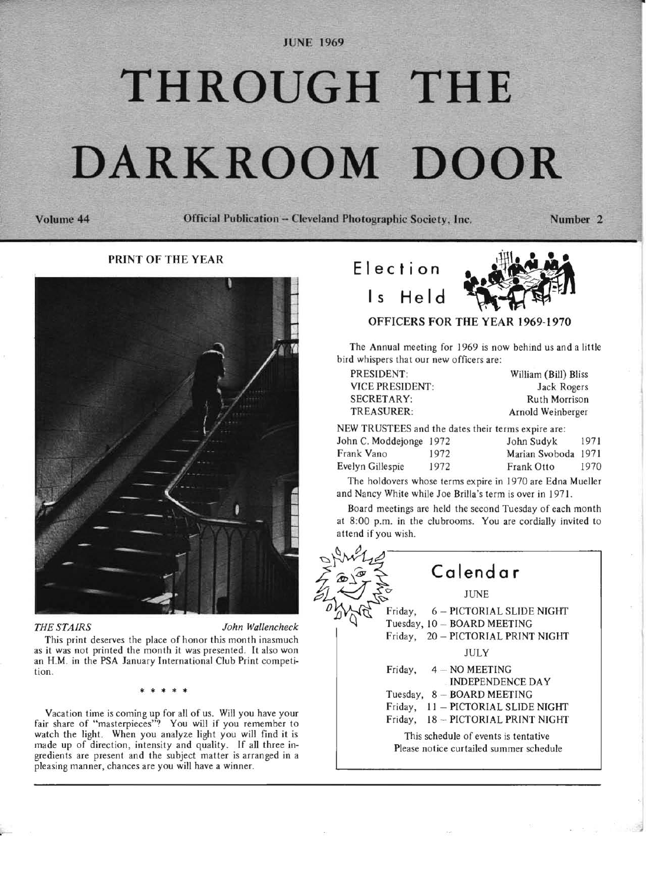JUNE 1969

# **THROUGH THE DARKROOM**

Volume **44** Official Publication - Cleveland Photographic Society, Inc. Number 2

### PRINT OF THE YEAR



,

*THE STAIRS John Wallencheck* 

This print deserves the place of honor *this* month inasmuch as it was not printed the month it was presented. It also won an H.M. in the PSA January International Club Print competition.

\* \* \* \* \*

Vacation time is coming up for all of us. Will you have your fair share of "masterpieces"? You will if you remember to watch the light. When you analyze light you will find it is made up of direction, intensity and quality. If all three ingredients are present and the subject matter is arranged in a pleasing manner, chances are you will have a winner.



The Annual meeting for 1969 is now behind us and a little bird whispers that our new officers are:

| PRESIDENT:                                        | William (Bill) Bliss |
|---------------------------------------------------|----------------------|
| <b>VICE PRESIDENT:</b>                            | Jack Rogers          |
| SECRETARY:                                        | Ruth Morrison        |
| TREASURER:                                        | Arnold Weinberger    |
| EW TRUSTEES and the dates their terms expire are: |                      |

| NEW TRUSTEES and the dates their terms expire are: |      |                     |      |
|----------------------------------------------------|------|---------------------|------|
| John C. Moddejonge 1972                            |      | John Sudyk          | 1971 |
| Frank Vano                                         | 1972 | Marian Svoboda 1971 |      |
| Evelyn Gillespie                                   | 1972 | Frank Otto          | 1970 |

The holdovers whose terms expire in 1970 are Edna Mueller and Nancy White while Joe Brilla's term is over in 1971.

Board meetings are held the second Tuesday of each month at 8:00 p.m. in the clubrooms. You are cordially invited to attend if you wish.

**Calendar**  JUNE Friday, 6 - PICTORIAL SLIDE NIGHT Tuesday, 10 - BOARD MEETING Friday, 20 - PICTORIAL PRINT NIGHT JULY Friday,  $4 - NO MEETING$ INDEPENDENCE DA Y Tuesday,  $8 - BOARD MEETING$ Friday,  $11 - PICTORIAL SLIDE NIGHT$ Friday, 18 - PICTORIAL PRINT NIGHT This schedule of events is tentative Please notice curtailed summer schedule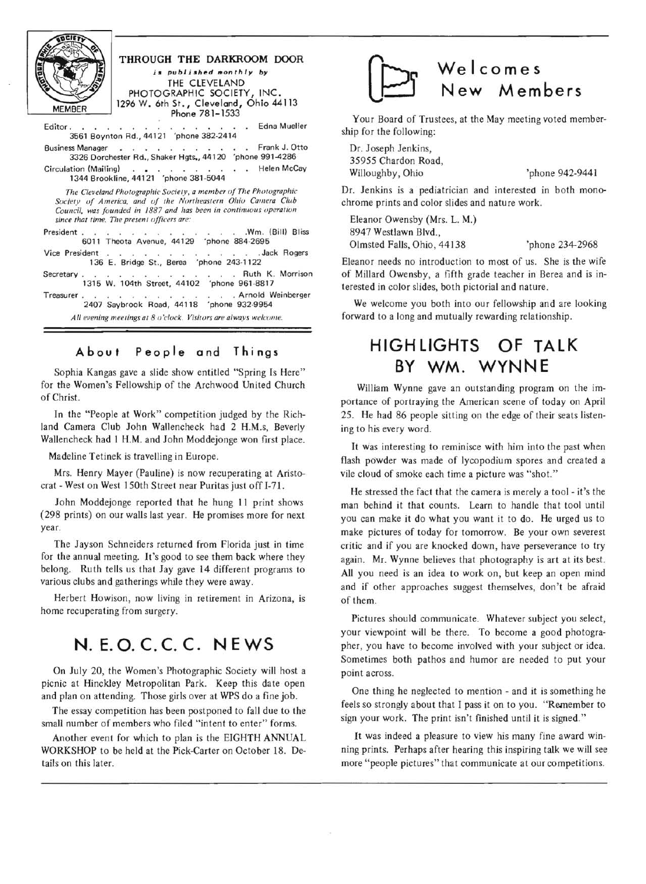

#### **THROUGH THE DARKROOM DOOR**  is *published monthly by*  THE CLEVELAND PHOTOGRAPHIC SOCIETY, INC. 1296W. 6th St., Cleveland, Ohio 44113 Phone 781-1533

Editor. . . . . . . . . . . . . . . Edna Mueller 3561 Boynton Rd ., 44121 'phone 382-2414 Business Manager . . . . . . . . . . Frank J. Otto

3326 Dorchester Rd., Shaker Hgts., 44120 'phone 991-4286 Circulation (Mailing) . . . . . . . . . . Helen McCay 1344 Brookline, 44121 'phone 381-5044

*The Cleveland Photographic Society, a member of The Photographic* Society of America, and of the Northeastern Ohio Camera Club *Council, was founded in 1887 and has been in continuous operation since that time. The present officers are:* 

President . . . . . . . . . . . . . . . . . . Wm. (Bill) Bliss 6011 Theota Avenue, 44129 'phone 884-2695

Vice President . . . . . . . . . . . Jack Rogers 136 E. Bridge St., Berea 'phone 243-1122

Secretary . . . . . . . . . . . Ruth K. Morrison 1315 W. 104th Street. 44102 'phone 961-8817

Treasurer. . . . . . . . . . . Arnold Weinberger 2407 Saybrook Road, 44118 'phone 932-9954

All evening meetings at 8 *o'clock. Visitors are always welcome.* 

## **A bou t People and Things**

Sophia Kangas gave a slide show entitled "Spring Is Here" for the Women's Fellowship of the Archwood United Church of Christ.

In the "People at Work" competition judged by the Richland Camera Club John Wallencheck had 2 H.M.s, Beverly Wallencheck had I H.M. and John Moddejonge won first place.

Madeline Tetinek is travelling in Europe.

Mrs. Henry Mayer (Pauline) is now recuperating at Aristocrat - West on West 1 50th Street near Puritas just off 1-71.

John Moddejonge reported that he hung II print shows (298 prints) on our walls last year. He promises more for next year.

The Jayson Schneiders returned from Florida just in time for the annual meeting. It's good to see them back where they belong. Ruth tells us that Jay gave 14 different programs to various clubs and gatherings while they were away.

Herbert Howison, now living in retirement in Arizona, is home recuperating from surgery.

# **N. E. O. c. c. C. NEWS**

On July 20, the Women's Photographic Society will host a picnic at Hinckley Metropolitan Park. Keep this date open and plan on attending. Those girls over at WPS do a fine job.

The essay competition has been postponed to fall due to the smalI number of members who filed "intent to enter" forms.

Another event for which to plan is the EIGHTH ANNUAL WORKSHOP to be held at the Pick-Carter on October 18. Details on this later.



Your Board of Trustees, at the May meeting voted membership for the following:

Dr. Joseph Jenkins, 35955 Chardon Road, Willoughby, Ohio 'phone 942-9441

Dr. Jenkins is a pediatrician and interested in both monochrome prints and color slides and nature work.

Eleanor Owensby (Mrs. L. M.) 8947 Westlawn Blvd., Olmsted Falls, Ohio, 44138 'phone 234-2968

Eleanor needs no introduction to most of us. She is the wife of Millard Owensby, a fifth grade teacher in Berea and is interested in color slides, both pictorial and nature.

We welcome you both into our fellowship and are looking forward to a long and mutually rewarding relationship.

## **HIGHLIGHTS OF TALK BY WM. WYNNE**

William Wynne gave an outstanding program on the importance of portraying the American scene of today on April 25. He had 86 people sitting on the edge of their seats listening to his every word.

It was interesting to reminisce with him into the past when flash powder was made of lycopodium spores and created a vile cloud of smoke each time a picture was "shot. "

He stressed the fact that the camera is merely a tool - it's the man behind it that counts. Learn to handle that tool until you can make it do what you want it to do. He urged us to make pictures of today for tomorrow. Be your own severest critic and if you are knocked down, have perseverance to try again. Mr. Wynne believes that photography is art at its best. All you need is an idea to work on, but keep an open mind and if other approaches suggest themselves, don 't be afraid of them.

Pictures should communicate. Whatever subject you select, your viewpoint will be there. To become a good photographer, you have to become involved with your subject or idea. Sometimes both pathos and humor are needed to put your point across.

One thing he neglected to mention - and it is something he feels so strongly about that I pass it on to you. "Remember to sign your work. The print isn't finished until it is signed. "

It was indeed a pleasure to view his many fine award winning prints. Perhaps after hearing this inspiring talk we will see more "people pictures" that communicate at our competitions.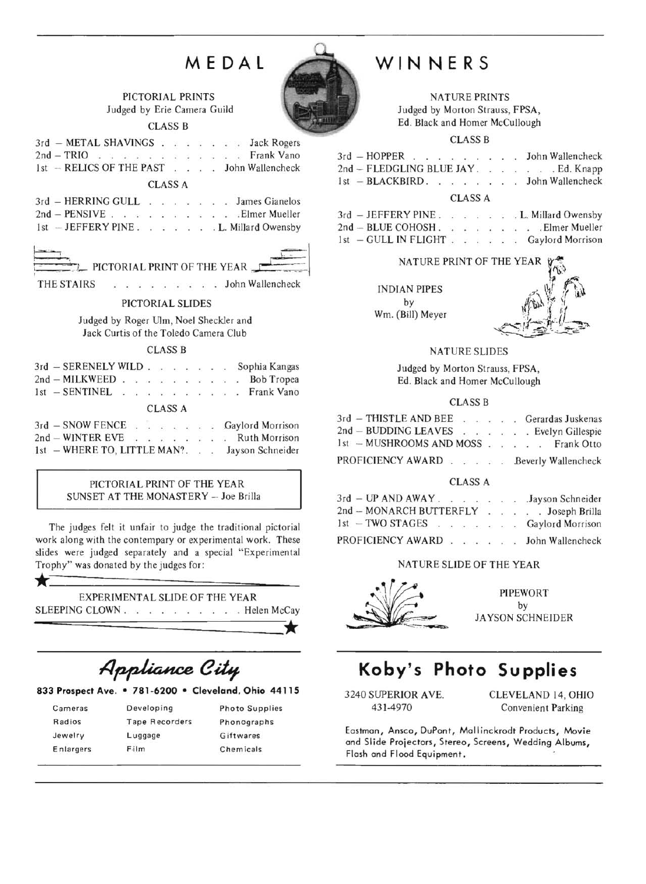# **MEDAL**



PICTORIAL PRINTS Judged by Erie Camera Guild CLASS B

3rd - METAL SHAVINGS . . . . . . Jack Rogers 2nd - TRIO . . . . . . . . . . . . Frank Vano 1st - RELICS OF THE PAST . . . John Wallencheck

CLASS A

3rd - HERRING GULL · · · · · · · James Gianelos 2nd - PENSIVE. . . · . . Elmer Mueller 1st - JEFFERY PINE . . . . . . L. Millard Owensby



THE STAIRS PICTORIAL PRINT OF THE YEAR

#### PICTORIAL SLIDES

Judged by Roger Ulm, Noel Sheckler and Jack Curtis of the Toledo Camera Club

CLASS B

| 3rd - SERENELY WILD Sophia Kangas             |  |                |  |  |  |  |
|-----------------------------------------------|--|----------------|--|--|--|--|
| 2nd - MILKWEED Bob Tropea                     |  |                |  |  |  |  |
| 1st - SENTINEL Frank Vano                     |  |                |  |  |  |  |
|                                               |  | <b>CLASS A</b> |  |  |  |  |
| 3rd - SNOW FENCE Gaylord Morrison             |  |                |  |  |  |  |
| 2nd - WINTER EVE Ruth Morrison                |  |                |  |  |  |  |
| 1st - WHERE TO, LITTLE MAN?. Jayson Schneider |  |                |  |  |  |  |

#### PICTORIAL PRINT OF THE YEAR SUNSET AT THE MONASTERY - Joe Brilla

The judges felt it unfair to judge the traditional pictorial work along with the contempary or experimental work. These slides were judged separately and a special "Experimental Trophy" was donated by the judges for:

# \*========~~==-- EXPERIMENTAL SLIDE OF THE YEAR

SLEEPING CLOWN . . . . . . . . . . Helen McCay

 $\star$ 

Appliance City

#### **833 Prospect** Ave. **• 781·6200 • Cleveland. Ohio 44115**

| Cameras   | Developing            | <b>Photo Supplies</b> |
|-----------|-----------------------|-----------------------|
| Radios    | <b>Tape Recorders</b> | Phonographs           |
| Jewelry   | Luggage               | Giftwares             |
| Enlargers | Film                  | <b>Chemicals</b>      |

# **WINNERS**

NATURE PRINTS Judged by Morton Strauss, FPSA , Ed. Black and Homer McCullough

CLASS B

|  |  |  |  |  |  |  | 3rd - HOPPER John Wallencheck       |
|--|--|--|--|--|--|--|-------------------------------------|
|  |  |  |  |  |  |  | 2nd – FLEDGLING BLUE JAY. Ed. Knapp |
|  |  |  |  |  |  |  | $1st$ - BLACKBIRD. John Wallencheck |
|  |  |  |  |  |  |  |                                     |

#### CLASS A

|  | $3rd$ $-$ JEFFERY PINE. |  |  |  | . L. Millard Owensby |
|--|-------------------------|--|--|--|----------------------|
|  | 2nd - BLUE COHOSH.      |  |  |  | . Elmer Mueller      |
|  | 1st - GULL IN FLIGHT    |  |  |  | Gaylord Morrison     |

#### NATURE PRINT OF THE YEAR

**INDIAN PIPES** by Wm. (Bill) Meyer



#### NATURE SLIDES

Judged by Morton Strauss, FPSA, Ed. Black and Homer McCullough

#### CLASS B

| 3rd - THISTLE AND BEE Gerardas Juskenas |  |  |  |  |
|-----------------------------------------|--|--|--|--|
| 2nd - BUDDING LEAVES Evelyn Gillespie   |  |  |  |  |
| 1st - MUSHROOMS AND MOSS Frank Otto     |  |  |  |  |
| PROFICIENCY AWARD Beverly Wallencheck   |  |  |  |  |

#### CLASS A

| $3rd$ – UP AND AWAY.    |  |  |  | Jayson Schneider                       |
|-------------------------|--|--|--|----------------------------------------|
| 2nd - MONARCH BUTTERFLY |  |  |  | . Joseph Brilla<br>the contract of the |
| $1st$ - TWO STAGES      |  |  |  | Gaylord Morrison                       |
| PROFICIENCY AWARD       |  |  |  | John Wallencheck                       |

#### NATURE SLIDE OF THE YEAR



**PIPEWORT** by JA YSON SCHNEIDER

# **Koby's Photo Su pplies**

3240 SUPERIOR AVE. CLEVELAND 14, OHIO 431-4970 Convenient Parking

Eastman, Ansca, DuPont, Mallinckrodt Products, Movie and Slide Projectors, Stereo, Screens, Wedding Albums, Flash and Flood Equipment.